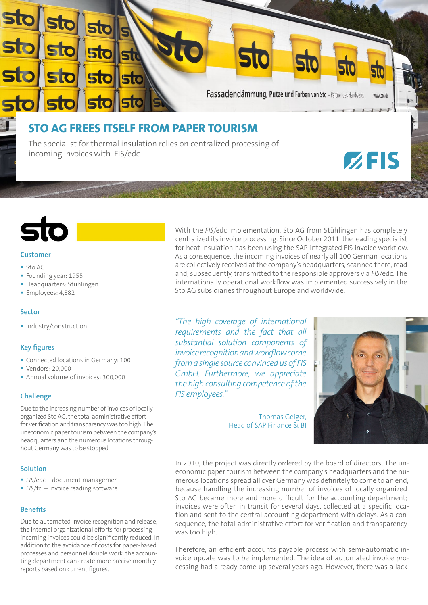

## **Customer**

- $S$ to AG
- Founding year: 1955
- Headquarters: Stühlingen
- **Employees: 4,882**

### **Sector**

• Industry/construction

# **Key figures**

- Connected locations in Germany: 100
- **Vendors: 20,000**
- Annual volume of invoices: 300,000

## **Challenge**

Due to the increasing number of invoices of locally organized Sto AG, the total administrative effort for verification and transparency was too high. The uneconomic paper tourism between the company's headquarters and the numerous locations throughout Germany was to be stopped.

## **Solution**

- *FIS*/edc document management
- **FIS/fci** invoice reading software

## **Benefits**

Due to automated invoice recognition and release, the internal organizational efforts for processing incoming invoices could be significantly reduced. In addition to the avoidance of costs for paper-based processes and personnel double work, the accounting department can create more precise monthly reports based on current figures.

With the *FIS*/edc implementation, Sto AG from Stühlingen has completely centralized its invoice processing. Since October 2011, the leading specialist for heat insulation has been using the SAP-integrated FIS invoice workflow. As a consequence, the incoming invoices of nearly all 100 German locations are collectively received at the company's headquarters, scanned there, read and, subsequently, transmitted to the responsible approvers via *FIS*/edc. The internationally operational workflow was implemented successively in the Sto AG subsidiaries throughout Europe and worldwide.

*"The high coverage of international requirements and the fact that all substantial solution components of invoice recognition and workflow come from a single source convinced us of FIS GmbH. Furthermore, we appreciate the high consulting competence of the FIS employees."*

> Thomas Geiger, Head of SAP Finance & BI



In 2010, the project was directly ordered by the board of directors: The uneconomic paper tourism between the company's headquarters and the numerous locations spread all over Germany was definitely to come to an end, because handling the increasing number of invoices of locally organized Sto AG became more and more difficult for the accounting department; invoices were often in transit for several days, collected at a specific location and sent to the central accounting department with delays. As a consequence, the total administrative effort for verification and transparency was too high.

Therefore, an efficient accounts payable process with semi-automatic invoice update was to be implemented. The idea of automated invoice processing had already come up several years ago. However, there was a lack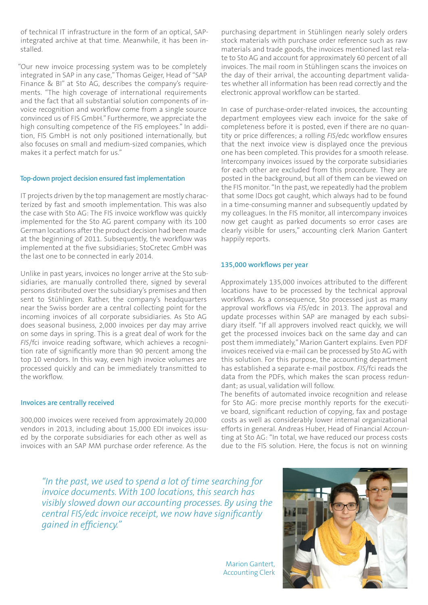of technical IT infrastructure in the form of an optical, SAPintegrated archive at that time. Meanwhile, it has been installed.

"Our new invoice processing system was to be completely integrated in SAP in any case," Thomas Geiger, Head of "SAP Finance & BI" at Sto AG, describes the company's requirements. "The high coverage of international requirements and the fact that all substantial solution components of invoice recognition and workflow come from a single source convinced us of FIS GmbH." Furthermore, we appreciate the high consulting competence of the FIS employees." In addition, FIS GmbH is not only positioned internationally, but also focuses on small and medium-sized companies, which makes it a perfect match for us."

### **Top-down project decision ensured fast implementation**

IT projects driven by the top management are mostly characterized by fast and smooth implementation. This was also the case with Sto AG: The FIS invoice workflow was quickly implemented for the Sto AG parent company with its 100 German locations after the product decision had been made at the beginning of 2011. Subsequently, the workflow was implemented at the five subsidiaries; StoCretec GmbH was the last one to be connected in early 2014.

Unlike in past years, invoices no longer arrive at the Sto subsidiaries, are manually controlled there, signed by several persons distributed over the subsidiary's premises and then sent to Stühlingen. Rather, the company's headquarters near the Swiss border are a central collecting point for the incoming invoices of all corporate subsidiaries. As Sto AG does seasonal business, 2,000 invoices per day may arrive on some days in spring. This is a great deal of work for the *FIS*/fci invoice reading software, which achieves a recognition rate of significantly more than 90 percent among the top 10 vendors. In this way, even high invoice volumes are processed quickly and can be immediately transmitted to the workflow.

### **Invoices are centrally received**

300,000 invoices were received from approximately 20,000 vendors in 2013, including about 15,000 EDI invoices issued by the corporate subsidiaries for each other as well as invoices with an SAP MM purchase order reference. As the

purchasing department in Stühlingen nearly solely orders stock materials with purchase order reference such as raw materials and trade goods, the invoices mentioned last relate to Sto AG and account for approximately 60 percent of all invoices. The mail room in Stühlingen scans the invoices on the day of their arrival, the accounting department validates whether all information has been read correctly and the electronic approval workflow can be started.

In case of purchase-order-related invoices, the accounting department employees view each invoice for the sake of completeness before it is posted, even if there are no quantity or price differences; a rolling *FIS*/edc workflow ensures that the next invoice view is displayed once the previous one has been completed. This provides for a smooth release. Intercompany invoices issued by the corporate subsidiaries for each other are excluded from this procedure. They are posted in the background, but all of them can be viewed on the FIS monitor. "In the past, we repeatedly had the problem that some IDocs got caught, which always had to be found in a time-consuming manner and subsequently updated by my colleagues. In the FIS monitor, all intercompany invoices now get caught as parked documents so error cases are clearly visible for users," accounting clerk Marion Gantert happily reports.

### **135,000 workflows per year**

Approximately 135,000 invoices attributed to the different locations have to be processed by the technical approval workflows. As a consequence, Sto processed just as many approval workflows via *FIS*/edc in 2013. The approval and update processes within SAP are managed by each subsidiary itself. "If all approvers involved react quickly, we will get the processed invoices back on the same day and can post them immediately," Marion Gantert explains. Even PDF invoices received via e-mail can be processed by Sto AG with this solution. For this purpose, the accounting department has established a separate e-mail postbox. *FIS*/fci reads the data from the PDFs, which makes the scan process redundant; as usual, validation will follow.

The benefits of automated invoice recognition and release for Sto AG: more precise monthly reports for the executive board, significant reduction of copying, fax and postage costs as well as considerably lower internal organizational efforts in general. Andreas Huber, Head of Financial Accounting at Sto AG: "In total, we have reduced our process costs due to the FIS solution. Here, the focus is not on winning

*"In the past, we used to spend a lot of time searching for invoice documents. With 100 locations, this search has visibly slowed down our accounting processes. By using the central FIS/edc invoice receipt, we now have significantly gained in efficiency."* 

> Marion Gantert, Accounting Clerk

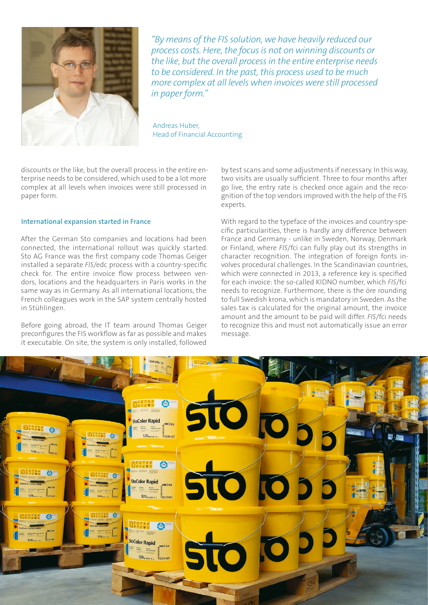

*"By means of the FIS solution, we have heavily reduced our process costs. Here, the focus is not on winning discounts or the like, but the overall process in the entire enterprise needs to be considered. In the past, this process used to be much more complex at all levels when invoices were still processed in paper form."* 

Andreas Huber, Head of Financial Accounting

discounts or the like, but the overall process in the entire enterprise needs to be considered, which used to be a lot more complex at all levels when invoices were still processed in paper form.

#### **International expansion started in France**

After the German Sto companies and locations had been connected, the international rollout was quickly started. Sto AG France was the first company code Thomas Geiger installed a separate *FIS*/edc process with a country-specific check for. The entire invoice flow process between vendors, locations and the headquarters in Paris works in the same way as in Germany. As all international locations, the French colleagues work in the SAP system centrally hosted in Stühlingen.

Before going abroad, the IT team around Thomas Geiger preconfigures the FIS workflow as far as possible and makes it executable. On site, the system is only installed, followed

by test scans and some adjustments if necessary. In this way, two visits are usually sufficient. Three to four months after go live, the entry rate is checked once again and the recognition of the top vendors improved with the help of the FIS experts.

With regard to the typeface of the invoices and country-specific particularities, there is hardly any difference between France and Germany - unlike in Sweden, Norway, Denmark or Finland, where *FIS*/fci can fully play out its strengths in character recognition. The integration of foreign fonts involves procedural challenges. In the Scandinavian countries, which were connected in 2013, a reference key is specified for each invoice: the so-called KIDNO number, which *FIS*/fci needs to recognize. Furthermore, there is the öre rounding to full Swedish krona, which is mandatory in Sweden. As the sales tax is calculated for the original amount, the invoice amount and the amount to be paid will differ. *FIS*/fci needs to recognize this and must not automatically issue an error message.